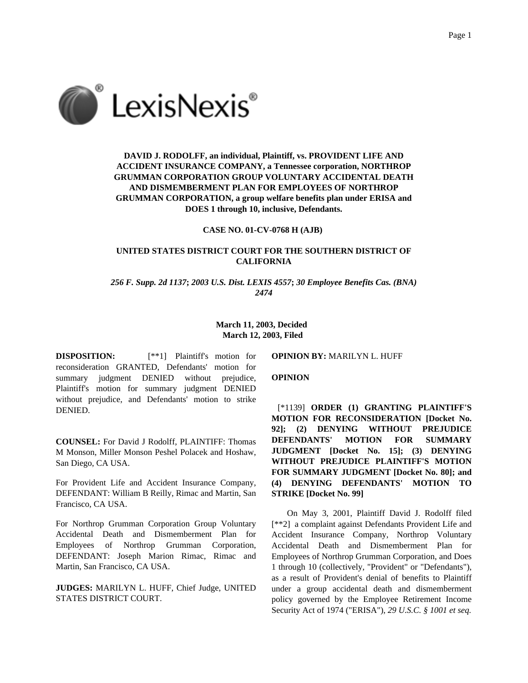

# **DAVID J. RODOLFF, an individual, Plaintiff, vs. PROVIDENT LIFE AND ACCIDENT INSURANCE COMPANY, a Tennessee corporation, NORTHROP GRUMMAN CORPORATION GROUP VOLUNTARY ACCIDENTAL DEATH AND DISMEMBERMENT PLAN FOR EMPLOYEES OF NORTHROP GRUMMAN CORPORATION, a group welfare benefits plan under ERISA and DOES 1 through 10, inclusive, Defendants.**

#### **CASE NO. 01-CV-0768 H (AJB)**

## **UNITED STATES DISTRICT COURT FOR THE SOUTHERN DISTRICT OF CALIFORNIA**

*256 F. Supp. 2d 1137***;** *2003 U.S. Dist. LEXIS 4557***;** *30 Employee Benefits Cas. (BNA) 2474*

> **March 11, 2003, Decided March 12, 2003, Filed**

**DISPOSITION:** [\*\*1] Plaintiff's motion for reconsideration GRANTED, Defendants' motion for summary judgment DENIED without prejudice, Plaintiff's motion for summary judgment DENIED without prejudice, and Defendants' motion to strike DENIED.

**COUNSEL:** For David J Rodolff, PLAINTIFF: Thomas M Monson, Miller Monson Peshel Polacek and Hoshaw, San Diego, CA USA.

For Provident Life and Accident Insurance Company, DEFENDANT: William B Reilly, Rimac and Martin, San Francisco, CA USA.

For Northrop Grumman Corporation Group Voluntary Accidental Death and Dismemberment Plan for Employees of Northrop Grumman Corporation, DEFENDANT: Joseph Marion Rimac, Rimac and Martin, San Francisco, CA USA.

**JUDGES:** MARILYN L. HUFF, Chief Judge, UNITED STATES DISTRICT COURT.

**OPINION BY:** MARILYN L. HUFF

**OPINION**

[\*1139] **ORDER (1) GRANTING PLAINTIFF'S MOTION FOR RECONSIDERATION [Docket No. 92]; (2) DENYING WITHOUT PREJUDICE DEFENDANTS' MOTION FOR SUMMARY JUDGMENT [Docket No. 15]; (3) DENYING WITHOUT PREJUDICE PLAINTIFF'S MOTION FOR SUMMARY JUDGMENT [Docket No. 80]; and (4) DENYING DEFENDANTS' MOTION TO STRIKE [Docket No. 99]**

On May 3, 2001, Plaintiff David J. Rodolff filed [\*\*2] a complaint against Defendants Provident Life and Accident Insurance Company, Northrop Voluntary Accidental Death and Dismemberment Plan for Employees of Northrop Grumman Corporation, and Does 1 through 10 (collectively, "Provident" or "Defendants"), as a result of Provident's denial of benefits to Plaintiff under a group accidental death and dismemberment policy governed by the Employee Retirement Income Security Act of 1974 ("ERISA"), *29 U.S.C. § 1001 et seq.*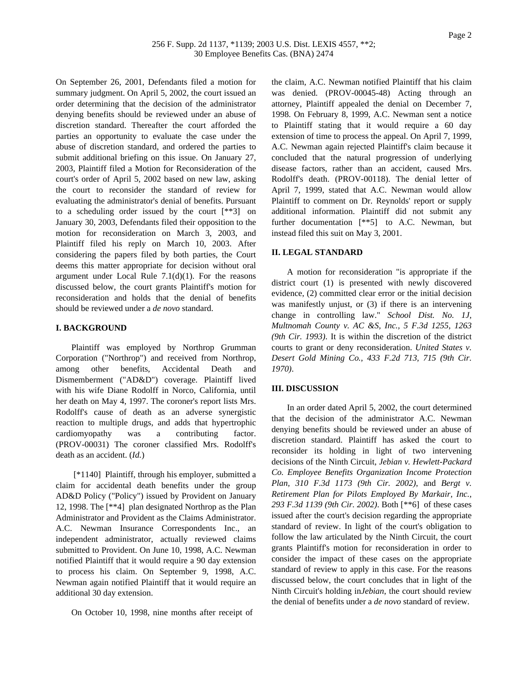On September 26, 2001, Defendants filed a motion for summary judgment. On April 5, 2002, the court issued an order determining that the decision of the administrator denying benefits should be reviewed under an abuse of discretion standard. Thereafter the court afforded the parties an opportunity to evaluate the case under the abuse of discretion standard, and ordered the parties to submit additional briefing on this issue. On January 27, 2003, Plaintiff filed a Motion for Reconsideration of the court's order of April 5, 2002 based on new law, asking the court to reconsider the standard of review for evaluating the administrator's denial of benefits. Pursuant to a scheduling order issued by the court [\*\*3] on January 30, 2003, Defendants filed their opposition to the motion for reconsideration on March 3, 2003, and Plaintiff filed his reply on March 10, 2003. After considering the papers filed by both parties, the Court deems this matter appropriate for decision without oral argument under Local Rule  $7.1(d)(1)$ . For the reasons discussed below, the court grants Plaintiff's motion for reconsideration and holds that the denial of benefits should be reviewed under a *de novo* standard.

### **I. BACKGROUND**

Plaintiff was employed by Northrop Grumman Corporation ("Northrop") and received from Northrop, among other benefits, Accidental Death and Dismemberment ("AD&D") coverage. Plaintiff lived with his wife Diane Rodolff in Norco, California, until her death on May 4, 1997. The coroner's report lists Mrs. Rodolff's cause of death as an adverse synergistic reaction to multiple drugs, and adds that hypertrophic cardiomyopathy was a contributing factor. (PROV-00031) The coroner classified Mrs. Rodolff's death as an accident. (*Id.*)

[\*1140] Plaintiff, through his employer, submitted a claim for accidental death benefits under the group AD&D Policy ("Policy") issued by Provident on January 12, 1998. The [\*\*4] plan designated Northrop as the Plan Administrator and Provident as the Claims Administrator. A.C. Newman Insurance Correspondents Inc., an independent administrator, actually reviewed claims submitted to Provident. On June 10, 1998, A.C. Newman notified Plaintiff that it would require a 90 day extension to process his claim. On September 9, 1998, A.C. Newman again notified Plaintiff that it would require an additional 30 day extension.

On October 10, 1998, nine months after receipt of

the claim, A.C. Newman notified Plaintiff that his claim was denied. (PROV-00045-48) Acting through an attorney, Plaintiff appealed the denial on December 7, 1998. On February 8, 1999, A.C. Newman sent a notice to Plaintiff stating that it would require a 60 day extension of time to process the appeal. On April 7, 1999, A.C. Newman again rejected Plaintiff's claim because it concluded that the natural progression of underlying disease factors, rather than an accident, caused Mrs. Rodolff's death. (PROV-00118). The denial letter of April 7, 1999, stated that A.C. Newman would allow Plaintiff to comment on Dr. Reynolds' report or supply additional information. Plaintiff did not submit any further documentation [\*\*5] to A.C. Newman, but instead filed this suit on May 3, 2001.

### **II. LEGAL STANDARD**

A motion for reconsideration "is appropriate if the district court (1) is presented with newly discovered evidence, (2) committed clear error or the initial decision was manifestly unjust, or (3) if there is an intervening change in controlling law." *School Dist. No. 1J, Multnomah County v. AC &S, Inc., 5 F.3d 1255, 1263 (9th Cir. 1993)*. It is within the discretion of the district courts to grant or deny reconsideration. *United States v. Desert Gold Mining Co., 433 F.2d 713, 715 (9th Cir. 1970)*.

### **III. DISCUSSION**

In an order dated April 5, 2002, the court determined that the decision of the administrator A.C. Newman denying benefits should be reviewed under an abuse of discretion standard. Plaintiff has asked the court to reconsider its holding in light of two intervening decisions of the Ninth Circuit, *Jebian v. Hewlett-Packard Co. Employee Benefits Organization Income Protection Plan, 310 F.3d 1173 (9th Cir. 2002)*, and *Bergt v. Retirement Plan for Pilots Employed By Markair, Inc., 293 F.3d 1139 (9th Cir. 2002)*. Both [\*\*6] of these cases issued after the court's decision regarding the appropriate standard of review. In light of the court's obligation to follow the law articulated by the Ninth Circuit, the court grants Plaintiff's motion for reconsideration in order to consider the impact of these cases on the appropriate standard of review to apply in this case. For the reasons discussed below, the court concludes that in light of the Ninth Circuit's holding in*Jebian*, the court should review the denial of benefits under a *de novo* standard of review.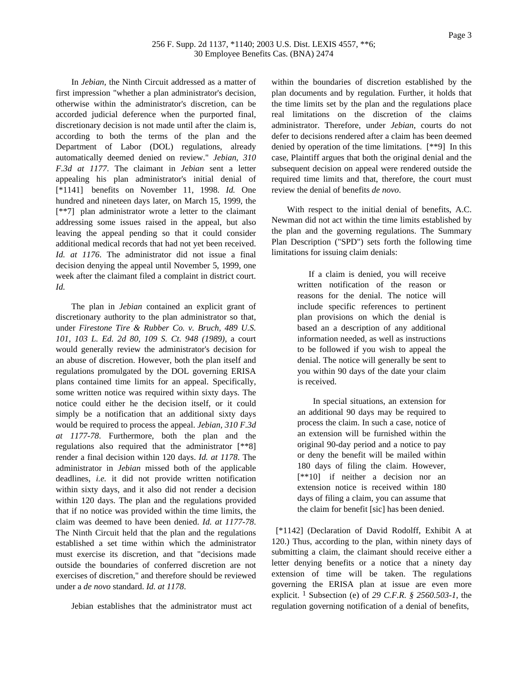In *Jebian*, the Ninth Circuit addressed as a matter of first impression "whether a plan administrator's decision, otherwise within the administrator's discretion, can be accorded judicial deference when the purported final, discretionary decision is not made until after the claim is, according to both the terms of the plan and the Department of Labor (DOL) regulations, already automatically deemed denied on review." *Jebian, 310 F.3d at 1177*. The claimant in *Jebian* sent a letter appealing his plan administrator's initial denial of [\*1141] benefits on November 11, 1998. *Id.* One hundred and nineteen days later, on March 15, 1999, the [\*\*7] plan administrator wrote a letter to the claimant addressing some issues raised in the appeal, but also leaving the appeal pending so that it could consider additional medical records that had not yet been received. *Id. at 1176*. The administrator did not issue a final decision denying the appeal until November 5, 1999, one week after the claimant filed a complaint in district court. *Id.*

The plan in *Jebian* contained an explicit grant of discretionary authority to the plan administrator so that, under *Firestone Tire & Rubber Co. v. Bruch, 489 U.S. 101, 103 L. Ed. 2d 80, 109 S. Ct. 948 (1989)*, a court would generally review the administrator's decision for an abuse of discretion. However, both the plan itself and regulations promulgated by the DOL governing ERISA plans contained time limits for an appeal. Specifically, some written notice was required within sixty days. The notice could either he the decision itself, or it could simply be a notification that an additional sixty days would be required to process the appeal. *Jebian, 310 F.3d at 1177-78*. Furthermore, both the plan and the regulations also required that the administrator [\*\*8] render a final decision within 120 days. *Id. at 1178*. The administrator in *Jebian* missed both of the applicable deadlines, *i.e.* it did not provide written notification within sixty days, and it also did not render a decision within 120 days. The plan and the regulations provided that if no notice was provided within the time limits, the claim was deemed to have been denied. *Id. at 1177-78*. The Ninth Circuit held that the plan and the regulations established a set time within which the administrator must exercise its discretion, and that "decisions made outside the boundaries of conferred discretion are not exercises of discretion," and therefore should be reviewed under a *de novo* standard. *Id. at 1178*.

Jebian establishes that the administrator must act

within the boundaries of discretion established by the plan documents and by regulation. Further, it holds that the time limits set by the plan and the regulations place real limitations on the discretion of the claims administrator. Therefore, under *Jebian*, courts do not defer to decisions rendered after a claim has been deemed denied by operation of the time limitations. [\*\*9] In this case, Plaintiff argues that both the original denial and the subsequent decision on appeal were rendered outside the required time limits and that, therefore, the court must review the denial of benefits *de novo*.

With respect to the initial denial of benefits, A.C. Newman did not act within the time limits established by the plan and the governing regulations. The Summary Plan Description ("SPD") sets forth the following time limitations for issuing claim denials:

> If a claim is denied, you will receive written notification of the reason or reasons for the denial. The notice will include specific references to pertinent plan provisions on which the denial is based an a description of any additional information needed, as well as instructions to be followed if you wish to appeal the denial. The notice will generally be sent to you within 90 days of the date your claim is received.

> In special situations, an extension for an additional 90 days may be required to process the claim. In such a case, notice of an extension will be furnished within the original 90-day period and a notice to pay or deny the benefit will be mailed within 180 days of filing the claim. However, [\*\*10] if neither a decision nor an extension notice is received within 180 days of filing a claim, you can assume that the claim for benefit [sic] has been denied.

[\*1142] (Declaration of David Rodolff, Exhibit A at 120.) Thus, according to the plan, within ninety days of submitting a claim, the claimant should receive either a letter denying benefits or a notice that a ninety day extension of time will be taken. The regulations governing the ERISA plan at issue are even more explicit. 1 Subsection (e) of *29 C.F.R. § 2560.503-1*, the regulation governing notification of a denial of benefits,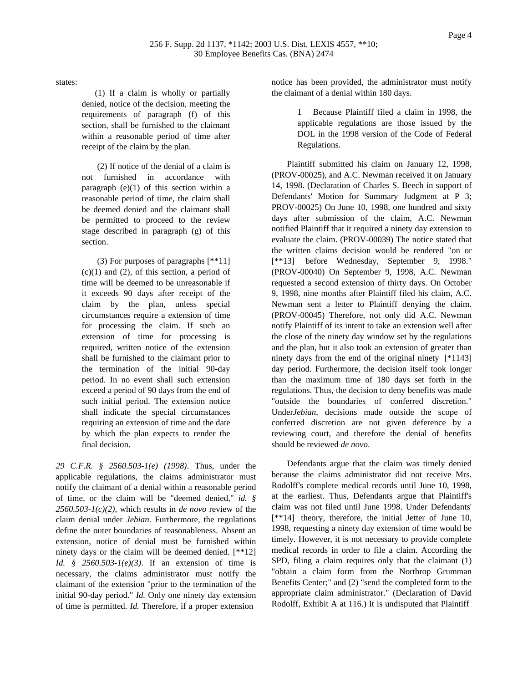states:

(1) If a claim is wholly or partially denied, notice of the decision, meeting the requirements of paragraph (f) of this section, shall be furnished to the claimant within a reasonable period of time after receipt of the claim by the plan.

(2) If notice of the denial of a claim is not furnished in accordance with paragraph  $(e)(1)$  of this section within a reasonable period of time, the claim shall be deemed denied and the claimant shall be permitted to proceed to the review stage described in paragraph (g) of this section.

(3) For purposes of paragraphs [\*\*11]  $(c)(1)$  and  $(2)$ , of this section, a period of time will be deemed to be unreasonable if it exceeds 90 days after receipt of the claim by the plan, unless special circumstances require a extension of time for processing the claim. If such an extension of time for processing is required, written notice of the extension shall be furnished to the claimant prior to the termination of the initial 90-day period. In no event shall such extension exceed a period of 90 days from the end of such initial period. The extension notice shall indicate the special circumstances requiring an extension of time and the date by which the plan expects to render the final decision.

*29 C.F.R. § 2560.503-1(e) (1998)*. Thus, under the applicable regulations, the claims administrator must notify the claimant of a denial within a reasonable period of time, or the claim will be "deemed denied," *id. § 2560.503-1(c)(2)*, which results in *de novo* review of the claim denial under *Jebian*. Furthermore, the regulations define the outer boundaries of reasonableness. Absent an extension, notice of denial must be furnished within ninety days or the claim will be deemed denied. [\*\*12] *Id. § 2560.503-1(e)(3)*. If an extension of time is necessary, the claims administrator must notify the claimant of the extension "prior to the termination of the initial 90-day period." *Id.* Only one ninety day extension of time is permitted. *Id.* Therefore, if a proper extension

notice has been provided, the administrator must notify the claimant of a denial within 180 days.

> 1 Because Plaintiff filed a claim in 1998, the applicable regulations are those issued by the DOL in the 1998 version of the Code of Federal Regulations.

Plaintiff submitted his claim on January 12, 1998, (PROV-00025), and A.C. Newman received it on January 14, 1998. (Declaration of Charles S. Beech in support of Defendants' Motion for Summary Judgment at P 3; PROV-00025) On June 10, 1998, one hundred and sixty days after submission of the claim, A.C. Newman notified Plaintiff that it required a ninety day extension to evaluate the claim. (PROV-00039) The notice stated that the written claims decision would be rendered "on or [\*\*13] before Wednesday, September 9, 1998." (PROV-00040) On September 9, 1998, A.C. Newman requested a second extension of thirty days. On October 9, 1998, nine months after Plaintiff filed his claim, A.C. Newman sent a letter to Plaintiff denying the claim. (PROV-00045) Therefore, not only did A.C. Newman notify Plaintiff of its intent to take an extension well after the close of the ninety day window set by the regulations and the plan, but it also took an extension of greater than ninety days from the end of the original ninety [\*1143] day period. Furthermore, the decision itself took longer than the maximum time of 180 days set forth in the regulations. Thus, the decision to deny benefits was made "outside the boundaries of conferred discretion." Under*Jebian*, decisions made outside the scope of conferred discretion are not given deference by a reviewing court, and therefore the denial of benefits should be reviewed *de novo*.

Defendants argue that the claim was timely denied because the claims administrator did not receive Mrs. Rodolff's complete medical records until June 10, 1998, at the earliest. Thus, Defendants argue that Plaintiff's claim was not filed until June 1998. Under Defendants' [\*\*14] theory, therefore, the initial Jetter of June 10, 1998, requesting a ninety day extension of time would be timely. However, it is not necessary to provide complete medical records in order to file a claim. According the SPD, filing a claim requires only that the claimant (1) "obtain a claim form from the Northrop Grumman Benefits Center;" and (2) "send the completed form to the appropriate claim administrator." (Declaration of David Rodolff, Exhibit A at 116.) It is undisputed that Plaintiff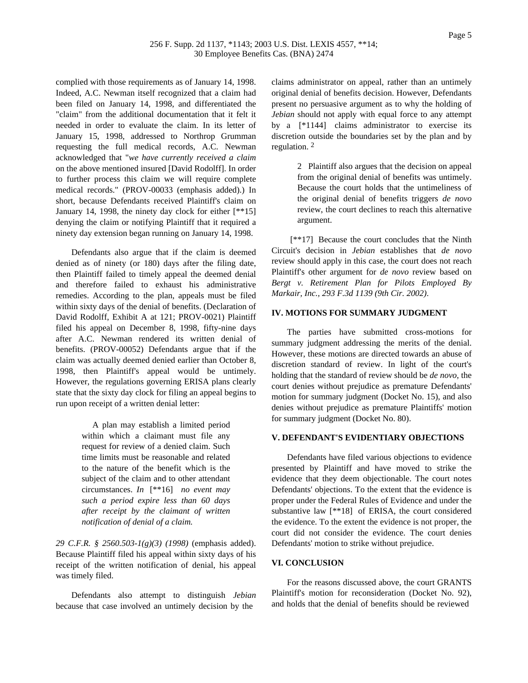complied with those requirements as of January 14, 1998. Indeed, A.C. Newman itself recognized that a claim had been filed on January 14, 1998, and differentiated the "claim" from the additional documentation that it felt it needed in order to evaluate the claim. In its letter of January 15, 1998, addressed to Northrop Grumman requesting the full medical records, A.C. Newman acknowledged that "*we have currently received a claim* on the above mentioned insured [David Rodolff]. In order to further process this claim we will require complete medical records." (PROV-00033 (emphasis added).) In short, because Defendants received Plaintiff's claim on January 14, 1998, the ninety day clock for either [\*\*15] denying the claim or notifying Plaintiff that it required a ninety day extension began running on January 14, 1998.

Defendants also argue that if the claim is deemed denied as of ninety (or 180) days after the filing date, then Plaintiff failed to timely appeal the deemed denial and therefore failed to exhaust his administrative remedies. According to the plan, appeals must be filed within sixty days of the denial of benefits. (Declaration of David Rodolff, Exhibit A at 121; PROV-0021) Plaintiff filed his appeal on December 8, 1998, fifty-nine days after A.C. Newman rendered its written denial of benefits. (PROV-00052) Defendants argue that if the claim was actually deemed denied earlier than October 8, 1998, then Plaintiff's appeal would be untimely. However, the regulations governing ERISA plans clearly state that the sixty day clock for filing an appeal begins to run upon receipt of a written denial letter:

> A plan may establish a limited period within which a claimant must file any request for review of a denied claim. Such time limits must be reasonable and related to the nature of the benefit which is the subject of the claim and to other attendant circumstances. *In* [\*\*16] *no event may such a period expire less than 60 days after receipt by the claimant of written notification of denial of a claim.*

*29 C.F.R. § 2560.503-1(g)(3) (1998)* (emphasis added). Because Plaintiff filed his appeal within sixty days of his receipt of the written notification of denial, his appeal was timely filed.

Defendants also attempt to distinguish *Jebian* because that case involved an untimely decision by the

claims administrator on appeal, rather than an untimely original denial of benefits decision. However, Defendants present no persuasive argument as to why the holding of *Jebian* should not apply with equal force to any attempt by a [\*1144] claims administrator to exercise its discretion outside the boundaries set by the plan and by regulation. 2

> 2 Plaintiff also argues that the decision on appeal from the original denial of benefits was untimely. Because the court holds that the untimeliness of the original denial of benefits triggers *de novo* review, the court declines to reach this alternative argument.

[\*\*17] Because the court concludes that the Ninth Circuit's decision in *Jebian* establishes that *de novo* review should apply in this case, the court does not reach Plaintiff's other argument for *de novo* review based on *Bergt v. Retirement Plan for Pilots Employed By Markair, Inc., 293 F.3d 1139 (9th Cir. 2002)*.

## **IV. MOTIONS FOR SUMMARY JUDGMENT**

The parties have submitted cross-motions for summary judgment addressing the merits of the denial. However, these motions are directed towards an abuse of discretion standard of review. In light of the court's holding that the standard of review should be *de novo*, the court denies without prejudice as premature Defendants' motion for summary judgment (Docket No. 15), and also denies without prejudice as premature Plaintiffs' motion for summary judgment (Docket No. 80).

### **V. DEFENDANT'S EVIDENTIARY OBJECTIONS**

Defendants have filed various objections to evidence presented by Plaintiff and have moved to strike the evidence that they deem objectionable. The court notes Defendants' objections. To the extent that the evidence is proper under the Federal Rules of Evidence and under the substantive law [\*\*18] of ERISA, the court considered the evidence. To the extent the evidence is not proper, the court did not consider the evidence. The court denies Defendants' motion to strike without prejudice.

#### **VI. CONCLUSION**

For the reasons discussed above, the court GRANTS Plaintiff's motion for reconsideration (Docket No. 92), and holds that the denial of benefits should be reviewed